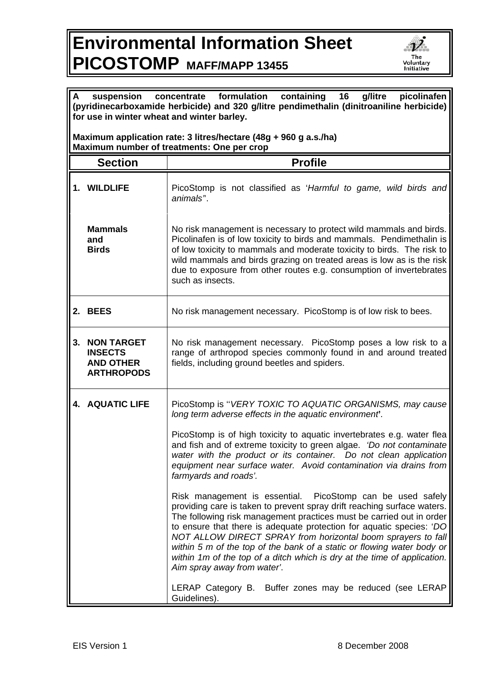## **Environmental Information Sheet PICOSTOMP MAFF/MAPP 13455**



**(pyridinecarboxamide herbicide) and 320 g/litre pendimethalin (dinitroaniline herbicide) for use in winter wheat and winter barley. Maximum application rate: 3 litres/hectare (48g + 960 g a.s./ha) Maximum number of treatments: One per crop Section | Profile 1. WILDLIFE** PicoStomp is not classified as '*Harmful to game, wild birds and animals'*'. **Mammals and Birds** No risk management is necessary to protect wild mammals and birds. Picolinafen is of low toxicity to birds and mammals. Pendimethalin is of low toxicity to mammals and moderate toxicity to birds. The risk to wild mammals and birds grazing on treated areas is low as is the risk due to exposure from other routes e.g. consumption of invertebrates such as insects. **2. BEES** No risk management necessary. PicoStomp is of low risk to bees. **3. NON TARGET INSECTS AND OTHER ARTHROPODS**  No risk management necessary. PicoStomp poses a low risk to a range of arthropod species commonly found in and around treated fields, including ground beetles and spiders. **4. AQUATIC LIFE** PicoStomp is ''*VERY TOXIC TO AQUATIC ORGANISMS, may cause long term adverse effects in the aquatic environment***'***.*  PicoStomp is of high toxicity to aquatic invertebrates e.g. water flea and fish and of extreme toxicity to green algae. *'Do not contaminate water with the product or its container. Do not clean application equipment near surface water. Avoid contamination via drains from farmyards and roads'.* Risk management is essential. PicoStomp can be used safely providing care is taken to prevent spray drift reaching surface waters. The following risk management practices must be carried out in order to ensure that there is adequate protection for aquatic species: '*DO NOT ALLOW DIRECT SPRAY from horizontal boom sprayers to fall within 5 m of the top of the bank of a static or flowing water body or within 1m of the top of a ditch which is dry at the time of application. Aim spray away from water'*. LERAP Category B. Buffer zones may be reduced (see LERAP Guidelines).

**A suspension concentrate formulation containing 16 g/litre picolinafen**